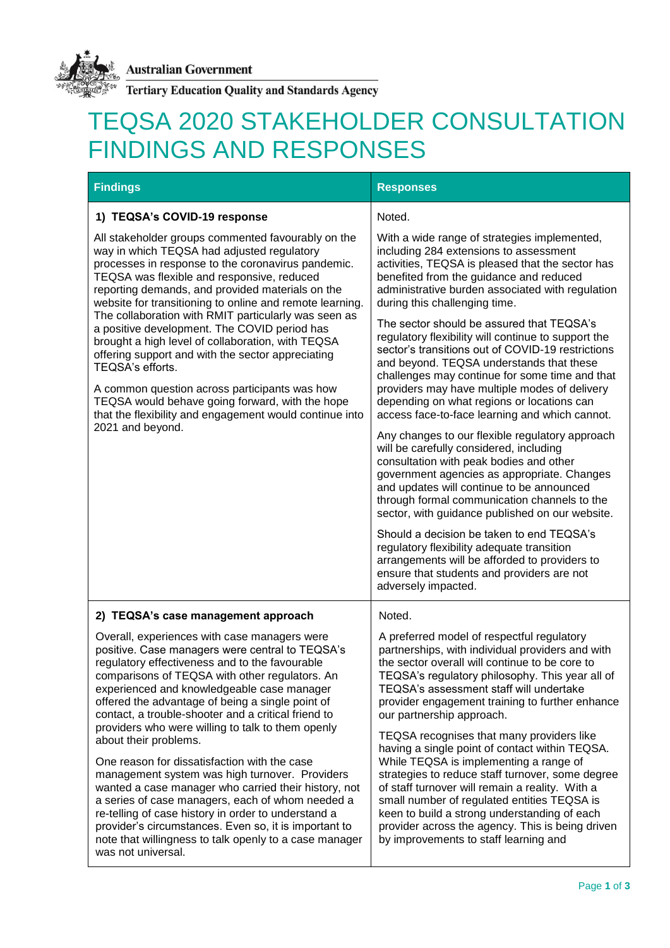

**Tertiary Education Quality and Standards Agency** 

## TEQSA 2020 STAKEHOLDER CONSULTATION FINDINGS AND RESPONSES

| <b>Findings</b>                                                                                                                                                                                                                                                                                                                                                                                                                                                                                                                                                                                                                                                                                                                                                                                                                                                                                 | <b>Responses</b>                                                                                                                                                                                                                                                                                                                                                                                                                                                                                                                                                                                                                                                                                                                                                                                                                                                                                                                                                                                                                                                                                                                                                                                                                                      |
|-------------------------------------------------------------------------------------------------------------------------------------------------------------------------------------------------------------------------------------------------------------------------------------------------------------------------------------------------------------------------------------------------------------------------------------------------------------------------------------------------------------------------------------------------------------------------------------------------------------------------------------------------------------------------------------------------------------------------------------------------------------------------------------------------------------------------------------------------------------------------------------------------|-------------------------------------------------------------------------------------------------------------------------------------------------------------------------------------------------------------------------------------------------------------------------------------------------------------------------------------------------------------------------------------------------------------------------------------------------------------------------------------------------------------------------------------------------------------------------------------------------------------------------------------------------------------------------------------------------------------------------------------------------------------------------------------------------------------------------------------------------------------------------------------------------------------------------------------------------------------------------------------------------------------------------------------------------------------------------------------------------------------------------------------------------------------------------------------------------------------------------------------------------------|
| 1) TEQSA's COVID-19 response<br>All stakeholder groups commented favourably on the<br>way in which TEQSA had adjusted regulatory<br>processes in response to the coronavirus pandemic.<br>TEQSA was flexible and responsive, reduced<br>reporting demands, and provided materials on the<br>website for transitioning to online and remote learning.<br>The collaboration with RMIT particularly was seen as<br>a positive development. The COVID period has<br>brought a high level of collaboration, with TEQSA<br>offering support and with the sector appreciating<br>TEQSA's efforts.<br>A common question across participants was how<br>TEQSA would behave going forward, with the hope<br>that the flexibility and engagement would continue into<br>2021 and beyond.                                                                                                                   | Noted.<br>With a wide range of strategies implemented,<br>including 284 extensions to assessment<br>activities, TEQSA is pleased that the sector has<br>benefited from the guidance and reduced<br>administrative burden associated with regulation<br>during this challenging time.<br>The sector should be assured that TEQSA's<br>regulatory flexibility will continue to support the<br>sector's transitions out of COVID-19 restrictions<br>and beyond. TEQSA understands that these<br>challenges may continue for some time and that<br>providers may have multiple modes of delivery<br>depending on what regions or locations can<br>access face-to-face learning and which cannot.<br>Any changes to our flexible regulatory approach<br>will be carefully considered, including<br>consultation with peak bodies and other<br>government agencies as appropriate. Changes<br>and updates will continue to be announced<br>through formal communication channels to the<br>sector, with guidance published on our website.<br>Should a decision be taken to end TEQSA's<br>regulatory flexibility adequate transition<br>arrangements will be afforded to providers to<br>ensure that students and providers are not<br>adversely impacted. |
| 2) TEQSA's case management approach<br>Overall, experiences with case managers were<br>positive. Case managers were central to TEQSA's<br>regulatory effectiveness and to the favourable<br>comparisons of TEQSA with other regulators. An<br>experienced and knowledgeable case manager<br>offered the advantage of being a single point of<br>contact, a trouble-shooter and a critical friend to<br>providers who were willing to talk to them openly<br>about their problems.<br>One reason for dissatisfaction with the case<br>management system was high turnover. Providers<br>wanted a case manager who carried their history, not<br>a series of case managers, each of whom needed a<br>re-telling of case history in order to understand a<br>provider's circumstances. Even so, it is important to<br>note that willingness to talk openly to a case manager<br>was not universal. | Noted.<br>A preferred model of respectful regulatory<br>partnerships, with individual providers and with<br>the sector overall will continue to be core to<br>TEQSA's regulatory philosophy. This year all of<br>TEQSA's assessment staff will undertake<br>provider engagement training to further enhance<br>our partnership approach.<br>TEQSA recognises that many providers like<br>having a single point of contact within TEQSA.<br>While TEQSA is implementing a range of<br>strategies to reduce staff turnover, some degree<br>of staff turnover will remain a reality. With a<br>small number of regulated entities TEQSA is<br>keen to build a strong understanding of each<br>provider across the agency. This is being driven<br>by improvements to staff learning and                                                                                                                                                                                                                                                                                                                                                                                                                                                                  |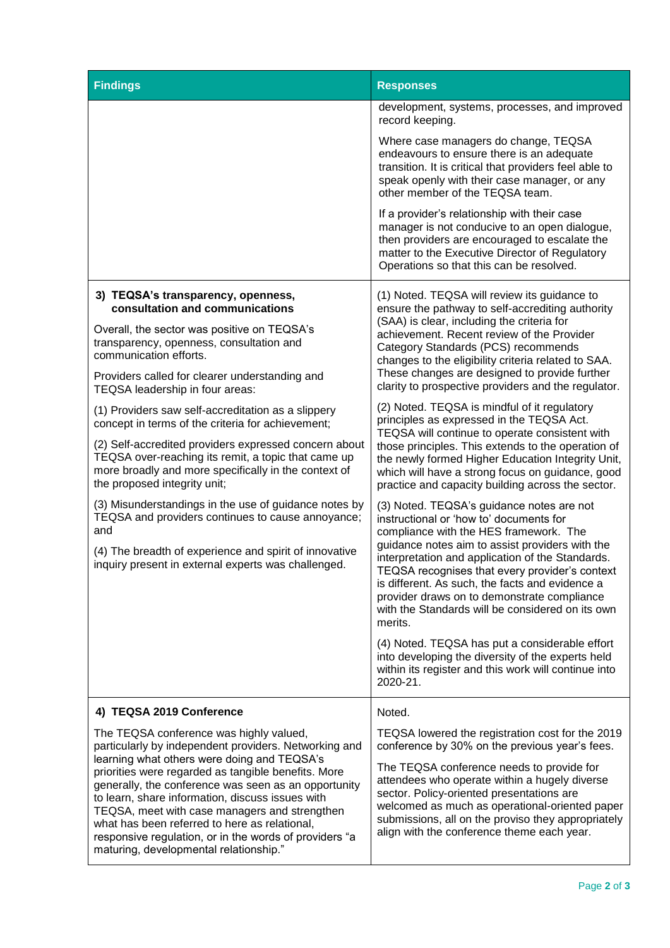| <b>Findings</b>                                                                                                                                                                                                                                                                                                                                                                                                                                                                                                          | <b>Responses</b>                                                                                                                                                                                                                                                                                                                                                                                   |
|--------------------------------------------------------------------------------------------------------------------------------------------------------------------------------------------------------------------------------------------------------------------------------------------------------------------------------------------------------------------------------------------------------------------------------------------------------------------------------------------------------------------------|----------------------------------------------------------------------------------------------------------------------------------------------------------------------------------------------------------------------------------------------------------------------------------------------------------------------------------------------------------------------------------------------------|
|                                                                                                                                                                                                                                                                                                                                                                                                                                                                                                                          | development, systems, processes, and improved<br>record keeping.                                                                                                                                                                                                                                                                                                                                   |
|                                                                                                                                                                                                                                                                                                                                                                                                                                                                                                                          | Where case managers do change, TEQSA<br>endeavours to ensure there is an adequate<br>transition. It is critical that providers feel able to<br>speak openly with their case manager, or any<br>other member of the TEQSA team.                                                                                                                                                                     |
|                                                                                                                                                                                                                                                                                                                                                                                                                                                                                                                          | If a provider's relationship with their case<br>manager is not conducive to an open dialogue,<br>then providers are encouraged to escalate the<br>matter to the Executive Director of Regulatory<br>Operations so that this can be resolved.                                                                                                                                                       |
| 3) TEQSA's transparency, openness,<br>consultation and communications                                                                                                                                                                                                                                                                                                                                                                                                                                                    | (1) Noted. TEQSA will review its guidance to<br>ensure the pathway to self-accrediting authority<br>(SAA) is clear, including the criteria for<br>achievement. Recent review of the Provider<br>Category Standards (PCS) recommends<br>changes to the eligibility criteria related to SAA.<br>These changes are designed to provide further<br>clarity to prospective providers and the regulator. |
| Overall, the sector was positive on TEQSA's<br>transparency, openness, consultation and<br>communication efforts.                                                                                                                                                                                                                                                                                                                                                                                                        |                                                                                                                                                                                                                                                                                                                                                                                                    |
| Providers called for clearer understanding and<br>TEQSA leadership in four areas:                                                                                                                                                                                                                                                                                                                                                                                                                                        |                                                                                                                                                                                                                                                                                                                                                                                                    |
| (1) Providers saw self-accreditation as a slippery<br>concept in terms of the criteria for achievement;                                                                                                                                                                                                                                                                                                                                                                                                                  | (2) Noted. TEQSA is mindful of it regulatory<br>principles as expressed in the TEQSA Act.<br>TEQSA will continue to operate consistent with<br>those principles. This extends to the operation of<br>the newly formed Higher Education Integrity Unit,<br>which will have a strong focus on guidance, good<br>practice and capacity building across the sector.                                    |
| (2) Self-accredited providers expressed concern about<br>TEQSA over-reaching its remit, a topic that came up<br>more broadly and more specifically in the context of<br>the proposed integrity unit;                                                                                                                                                                                                                                                                                                                     |                                                                                                                                                                                                                                                                                                                                                                                                    |
| (3) Misunderstandings in the use of guidance notes by<br>TEQSA and providers continues to cause annoyance;<br>and                                                                                                                                                                                                                                                                                                                                                                                                        | (3) Noted. TEQSA's guidance notes are not<br>instructional or 'how to' documents for<br>compliance with the HES framework. The                                                                                                                                                                                                                                                                     |
| (4) The breadth of experience and spirit of innovative<br>inquiry present in external experts was challenged.                                                                                                                                                                                                                                                                                                                                                                                                            | guidance notes aim to assist providers with the<br>interpretation and application of the Standards.<br>TEQSA recognises that every provider's context<br>is different. As such, the facts and evidence a<br>provider draws on to demonstrate compliance<br>with the Standards will be considered on its own<br>merits.                                                                             |
|                                                                                                                                                                                                                                                                                                                                                                                                                                                                                                                          | (4) Noted. TEQSA has put a considerable effort<br>into developing the diversity of the experts held<br>within its register and this work will continue into<br>2020-21.                                                                                                                                                                                                                            |
| 4) TEQSA 2019 Conference                                                                                                                                                                                                                                                                                                                                                                                                                                                                                                 | Noted.                                                                                                                                                                                                                                                                                                                                                                                             |
| The TEQSA conference was highly valued,<br>particularly by independent providers. Networking and<br>learning what others were doing and TEQSA's<br>priorities were regarded as tangible benefits. More<br>generally, the conference was seen as an opportunity<br>to learn, share information, discuss issues with<br>TEQSA, meet with case managers and strengthen<br>what has been referred to here as relational,<br>responsive regulation, or in the words of providers "a<br>maturing, developmental relationship." | TEQSA lowered the registration cost for the 2019<br>conference by 30% on the previous year's fees.                                                                                                                                                                                                                                                                                                 |
|                                                                                                                                                                                                                                                                                                                                                                                                                                                                                                                          | The TEQSA conference needs to provide for<br>attendees who operate within a hugely diverse<br>sector. Policy-oriented presentations are<br>welcomed as much as operational-oriented paper<br>submissions, all on the proviso they appropriately<br>align with the conference theme each year.                                                                                                      |